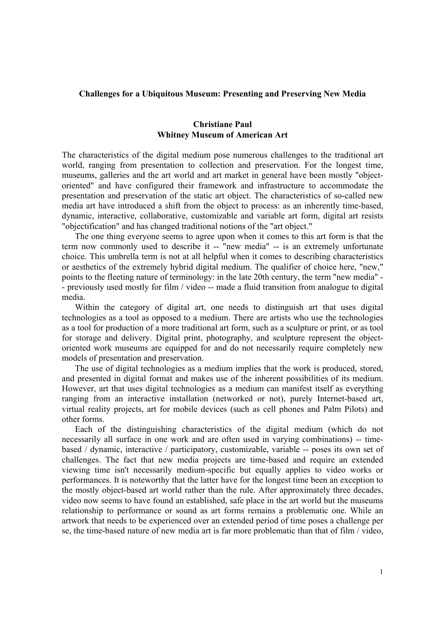## **Challenges for a Ubiquitous Museum: Presenting and Preserving New Media**

# **Christiane Paul Whitney Museum of American Art**

The characteristics of the digital medium pose numerous challenges to the traditional art world, ranging from presentation to collection and preservation. For the longest time, museums, galleries and the art world and art market in general have been mostly "objectoriented" and have configured their framework and infrastructure to accommodate the presentation and preservation of the static art object. The characteristics of so-called new media art have introduced a shift from the object to process: as an inherently time-based, dynamic, interactive, collaborative, customizable and variable art form, digital art resists "objectification" and has changed traditional notions of the "art object."

The one thing everyone seems to agree upon when it comes to this art form is that the term now commonly used to describe it -- "new media" -- is an extremely unfortunate choice. This umbrella term is not at all helpful when it comes to describing characteristics or aesthetics of the extremely hybrid digital medium. The qualifier of choice here, "new," points to the fleeting nature of terminology: in the late 20th century, the term "new media" - - previously used mostly for film / video -- made a fluid transition from analogue to digital media.

Within the category of digital art, one needs to distinguish art that uses digital technologies as a tool as opposed to a medium. There are artists who use the technologies as a tool for production of a more traditional art form, such as a sculpture or print, or as tool for storage and delivery. Digital print, photography, and sculpture represent the objectoriented work museums are equipped for and do not necessarily require completely new models of presentation and preservation.

The use of digital technologies as a medium implies that the work is produced, stored, and presented in digital format and makes use of the inherent possibilities of its medium. However, art that uses digital technologies as a medium can manifest itself as everything ranging from an interactive installation (networked or not), purely Internet-based art, virtual reality projects, art for mobile devices (such as cell phones and Palm Pilots) and other forms.

Each of the distinguishing characteristics of the digital medium (which do not necessarily all surface in one work and are often used in varying combinations) -- timebased / dynamic, interactive / participatory, customizable, variable -- poses its own set of challenges. The fact that new media projects are time-based and require an extended viewing time isn't necessarily medium-specific but equally applies to video works or performances. It is noteworthy that the latter have for the longest time been an exception to the mostly object-based art world rather than the rule. After approximately three decades, video now seems to have found an established, safe place in the art world but the museums relationship to performance or sound as art forms remains a problematic one. While an artwork that needs to be experienced over an extended period of time poses a challenge per se, the time-based nature of new media art is far more problematic than that of film / video,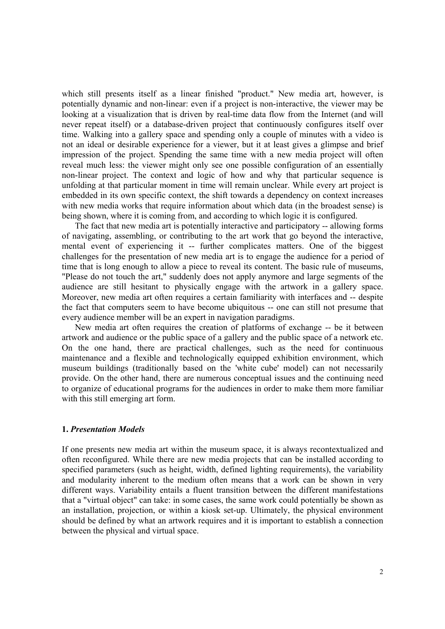which still presents itself as a linear finished "product." New media art, however, is potentially dynamic and non-linear: even if a project is non-interactive, the viewer may be looking at a visualization that is driven by real-time data flow from the Internet (and will never repeat itself) or a database-driven project that continuously configures itself over time. Walking into a gallery space and spending only a couple of minutes with a video is not an ideal or desirable experience for a viewer, but it at least gives a glimpse and brief impression of the project. Spending the same time with a new media project will often reveal much less: the viewer might only see one possible configuration of an essentially non-linear project. The context and logic of how and why that particular sequence is unfolding at that particular moment in time will remain unclear. While every art project is embedded in its own specific context, the shift towards a dependency on context increases with new media works that require information about which data (in the broadest sense) is being shown, where it is coming from, and according to which logic it is configured.

The fact that new media art is potentially interactive and participatory -- allowing forms of navigating, assembling, or contributing to the art work that go beyond the interactive, mental event of experiencing it -- further complicates matters. One of the biggest challenges for the presentation of new media art is to engage the audience for a period of time that is long enough to allow a piece to reveal its content. The basic rule of museums, "Please do not touch the art," suddenly does not apply anymore and large segments of the audience are still hesitant to physically engage with the artwork in a gallery space. Moreover, new media art often requires a certain familiarity with interfaces and -- despite the fact that computers seem to have become ubiquitous -- one can still not presume that every audience member will be an expert in navigation paradigms.

New media art often requires the creation of platforms of exchange -- be it between artwork and audience or the public space of a gallery and the public space of a network etc. On the one hand, there are practical challenges, such as the need for continuous maintenance and a flexible and technologically equipped exhibition environment, which museum buildings (traditionally based on the 'white cube' model) can not necessarily provide. On the other hand, there are numerous conceptual issues and the continuing need to organize of educational programs for the audiences in order to make them more familiar with this still emerging art form.

## **1.** *Presentation Models*

If one presents new media art within the museum space, it is always recontextualized and often reconfigured. While there are new media projects that can be installed according to specified parameters (such as height, width, defined lighting requirements), the variability and modularity inherent to the medium often means that a work can be shown in very different ways. Variability entails a fluent transition between the different manifestations that a "virtual object" can take: in some cases, the same work could potentially be shown as an installation, projection, or within a kiosk set-up. Ultimately, the physical environment should be defined by what an artwork requires and it is important to establish a connection between the physical and virtual space.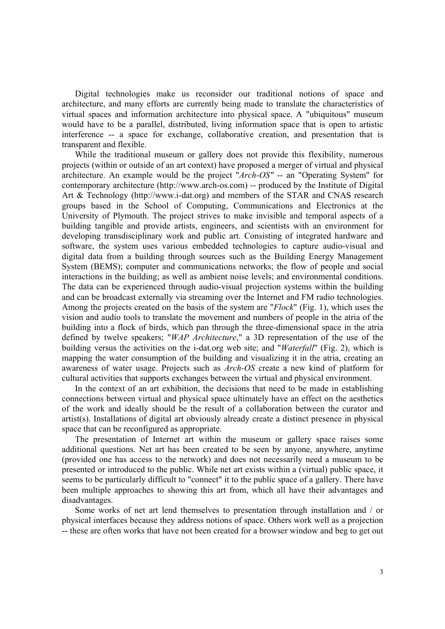Digital technologies make us reconsider our traditional notions of space and architecture, and many efforts are currently being made to translate the characteristics of virtual spaces and information architecture into physical space. A "ubiquitous" museum would have to be a parallel, distributed, living information space that is open to artistic interference -- a space for exchange, collaborative creation, and presentation that is transparent and flexible.

While the traditional museum or gallery does not provide this flexibility, numerous projects (within or outside of an art context) have proposed a merger of virtual and physical architecture. An example would be the project "*Arch-OS"* -- an "Operating System" for contemporary architecture (http://www.arch-os.com) -- produced by the Institute of Digital Art & Technology (http://www.i-dat.org) and members of the STAR and CNAS research groups based in the School of Computing, Communications and Electronics at the University of Plymouth. The project strives to make invisible and temporal aspects of a building tangible and provide artists, engineers, and scientists with an environment for developing transdisciplinary work and public art. Consisting of integrated hardware and software, the system uses various embedded technologies to capture audio-visual and digital data from a building through sources such as the Building Energy Management System (BEMS); computer and communications networks; the flow of people and social interactions in the building; as well as ambient noise levels; and environmental conditions. The data can be experienced through audio-visual projection systems within the building and can be broadcast externally via streaming over the Internet and FM radio technologies. Among the projects created on the basis of the system are "*Flock*" (Fig. 1), which uses the vision and audio tools to translate the movement and numbers of people in the atria of the building into a flock of birds, which pan through the three-dimensional space in the atria defined by twelve speakers; "*WAP Architecture*," a 3D representation of the use of the building versus the activities on the i-dat.org web site; and "*Waterfall*" (Fig. 2), which is mapping the water consumption of the building and visualizing it in the atria, creating an awareness of water usage. Projects such as *Arch-OS* create a new kind of platform for cultural activities that supports exchanges between the virtual and physical environment.

In the context of an art exhibition, the decisions that need to be made in establishing connections between virtual and physical space ultimately have an effect on the aesthetics of the work and ideally should be the result of a collaboration between the curator and artist(s). Installations of digital art obviously already create a distinct presence in physical space that can be reconfigured as appropriate.

The presentation of Internet art within the museum or gallery space raises some additional questions. Net art has been created to be seen by anyone, anywhere, anytime (provided one has access to the network) and does not necessarily need a museum to be presented or introduced to the public. While net art exists within a (virtual) public space, it seems to be particularly difficult to "connect" it to the public space of a gallery. There have been multiple approaches to showing this art from, which all have their advantages and disadvantages.

Some works of net art lend themselves to presentation through installation and / or physical interfaces because they address notions of space. Others work well as a projection -- these are often works that have not been created for a browser window and beg to get out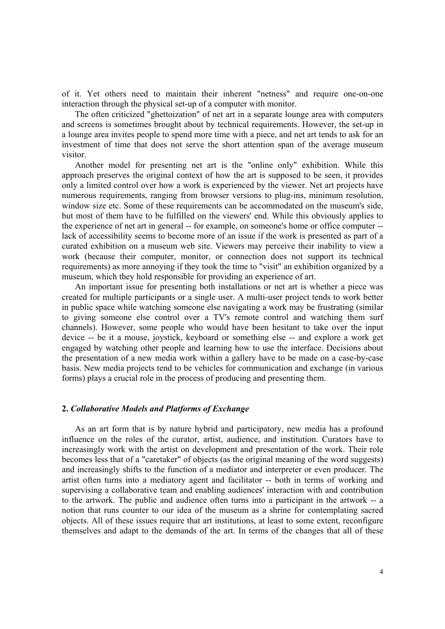of it. Yet others need to maintain their inherent "netness" and require one-on-one interaction through the physical set-up of a computer with monitor.

The often criticized "ghettoization" of net art in a separate lounge area with computers and screens is sometimes brought about by technical requirements. However, the set-up in a lounge area invites people to spend more time with a piece, and net art tends to ask for an investment of time that does not serve the short attention span of the average museum visitor.

Another model for presenting net art is the "online only" exhibition. While this approach preserves the original context of how the art is supposed to be seen, it provides only a limited control over how a work is experienced by the viewer. Net art projects have numerous requirements, ranging from browser versions to plug-ins, minimum resolution, window size etc. Some of these requirements can be accommodated on the museum's side, but most of them have to be fulfilled on the viewers' end. While this obviously applies to the experience of net art in general -- for example, on someone's home or office computer - lack of accessibility seems to become more of an issue if the work is presented as part of a curated exhibition on a museum web site. Viewers may perceive their inability to view a work (because their computer, monitor, or connection does not support its technical requirements) as more annoying if they took the time to "visit" an exhibition organized by a museum, which they hold responsible for providing an experience of art.

An important issue for presenting both installations or net art is whether a piece was created for multiple participants or a single user. A multi-user project tends to work better in public space while watching someone else navigating a work may be frustrating (similar to giving someone else control over a TV's remote control and watching them surf channels). However, some people who would have been hesitant to take over the input device -- be it a mouse, joystick, keyboard or something else -- and explore a work get engaged by watching other people and learning how to use the interface. Decisions about the presentation of a new media work within a gallery have to be made on a case-by-case basis. New media projects tend to be vehicles for communication and exchange (in various forms) plays a crucial role in the process of producing and presenting them.

## **2.** *Collaborative Models and Platforms of Exchange*

As an art form that is by nature hybrid and participatory, new media has a profound influence on the roles of the curator, artist, audience, and institution. Curators have to increasingly work with the artist on development and presentation of the work. Their role becomes less that of a "caretaker" of objects (as the original meaning of the word suggests) and increasingly shifts to the function of a mediator and interpreter or even producer. The artist often turns into a mediatory agent and facilitator -- both in terms of working and supervising a collaborative team and enabling audiences' interaction with and contribution to the artwork. The public and audience often turns into a participant in the artwork -- a notion that runs counter to our idea of the museum as a shrine for contemplating sacred objects. All of these issues require that art institutions, at least to some extent, reconfigure themselves and adapt to the demands of the art. In terms of the changes that all of these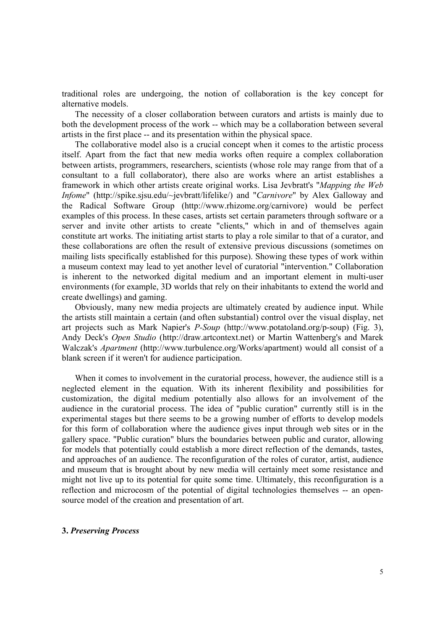traditional roles are undergoing, the notion of collaboration is the key concept for alternative models.

The necessity of a closer collaboration between curators and artists is mainly due to both the development process of the work -- which may be a collaboration between several artists in the first place -- and its presentation within the physical space.

The collaborative model also is a crucial concept when it comes to the artistic process itself. Apart from the fact that new media works often require a complex collaboration between artists, programmers, researchers, scientists (whose role may range from that of a consultant to a full collaborator), there also are works where an artist establishes a framework in which other artists create original works. Lisa Jevbratt's "*Mapping the Web Infome*" (http://spike.sjsu.edu/~jevbratt/lifelike/) and "*Carnivore*" by Alex Galloway and the Radical Software Group (http://www.rhizome.org/carnivore) would be perfect examples of this process. In these cases, artists set certain parameters through software or a server and invite other artists to create "clients," which in and of themselves again constitute art works. The initiating artist starts to play a role similar to that of a curator, and these collaborations are often the result of extensive previous discussions (sometimes on mailing lists specifically established for this purpose). Showing these types of work within a museum context may lead to yet another level of curatorial "intervention." Collaboration is inherent to the networked digital medium and an important element in multi-user environments (for example, 3D worlds that rely on their inhabitants to extend the world and create dwellings) and gaming.

Obviously, many new media projects are ultimately created by audience input. While the artists still maintain a certain (and often substantial) control over the visual display, net art projects such as Mark Napier's *P-Soup* (http://www.potatoland.org/p-soup) (Fig. 3), Andy Deck's *Open Studio* (http://draw.artcontext.net) or Martin Wattenberg's and Marek Walczak's *Apartment* (http://www.turbulence.org/Works/apartment) would all consist of a blank screen if it weren't for audience participation.

When it comes to involvement in the curatorial process, however, the audience still is a neglected element in the equation. With its inherent flexibility and possibilities for customization, the digital medium potentially also allows for an involvement of the audience in the curatorial process. The idea of "public curation" currently still is in the experimental stages but there seems to be a growing number of efforts to develop models for this form of collaboration where the audience gives input through web sites or in the gallery space. "Public curation" blurs the boundaries between public and curator, allowing for models that potentially could establish a more direct reflection of the demands, tastes, and approaches of an audience. The reconfiguration of the roles of curator, artist, audience and museum that is brought about by new media will certainly meet some resistance and might not live up to its potential for quite some time. Ultimately, this reconfiguration is a reflection and microcosm of the potential of digital technologies themselves -- an opensource model of the creation and presentation of art.

## **3.** *Preserving Process*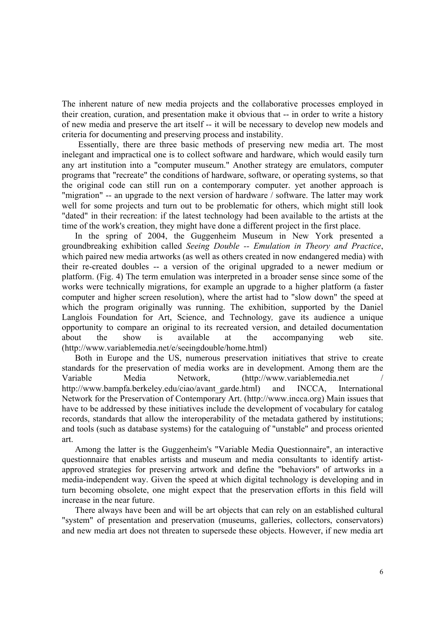The inherent nature of new media projects and the collaborative processes employed in their creation, curation, and presentation make it obvious that -- in order to write a history of new media and preserve the art itself -- it will be necessary to develop new models and criteria for documenting and preserving process and instability.

Essentially, there are three basic methods of preserving new media art. The most inelegant and impractical one is to collect software and hardware, which would easily turn any art institution into a "computer museum." Another strategy are emulators, computer programs that "recreate" the conditions of hardware, software, or operating systems, so that the original code can still run on a contemporary computer. yet another approach is "migration" -- an upgrade to the next version of hardware / software. The latter may work well for some projects and turn out to be problematic for others, which might still look "dated" in their recreation: if the latest technology had been available to the artists at the time of the work's creation, they might have done a different project in the first place.

In the spring of 2004, the Guggenheim Museum in New York presented a groundbreaking exhibition called *Seeing Double -- Emulation in Theory and Practice*, which paired new media artworks (as well as others created in now endangered media) with their re-created doubles -- a version of the original upgraded to a newer medium or platform. (Fig. 4) The term emulation was interpreted in a broader sense since some of the works were technically migrations, for example an upgrade to a higher platform (a faster computer and higher screen resolution), where the artist had to "slow down" the speed at which the program originally was running. The exhibition, supported by the Daniel Langlois Foundation for Art, Science, and Technology*,* gave its audience a unique opportunity to compare an original to its recreated version, and detailed documentation about the show is available at the accompanying web site. (http://www.variablemedia.net/e/seeingdouble/home.html)

Both in Europe and the US, numerous preservation initiatives that strive to create standards for the preservation of media works are in development. Among them are the Variable Media Network, (http://www.variablemedia.net / http://www.bampfa.berkeley.edu/ciao/avant\_garde.html) and INCCA, International Network for the Preservation of Contemporary Art. (http://www.incca.org) Main issues that have to be addressed by these initiatives include the development of vocabulary for catalog records, standards that allow the interoperability of the metadata gathered by institutions; and tools (such as database systems) for the cataloguing of "unstable" and process oriented art.

Among the latter is the Guggenheim's "Variable Media Questionnaire", an interactive questionnaire that enables artists and museum and media consultants to identify artistapproved strategies for preserving artwork and define the "behaviors" of artworks in a media-independent way. Given the speed at which digital technology is developing and in turn becoming obsolete, one might expect that the preservation efforts in this field will increase in the near future.

There always have been and will be art objects that can rely on an established cultural "system" of presentation and preservation (museums, galleries, collectors, conservators) and new media art does not threaten to supersede these objects. However, if new media art